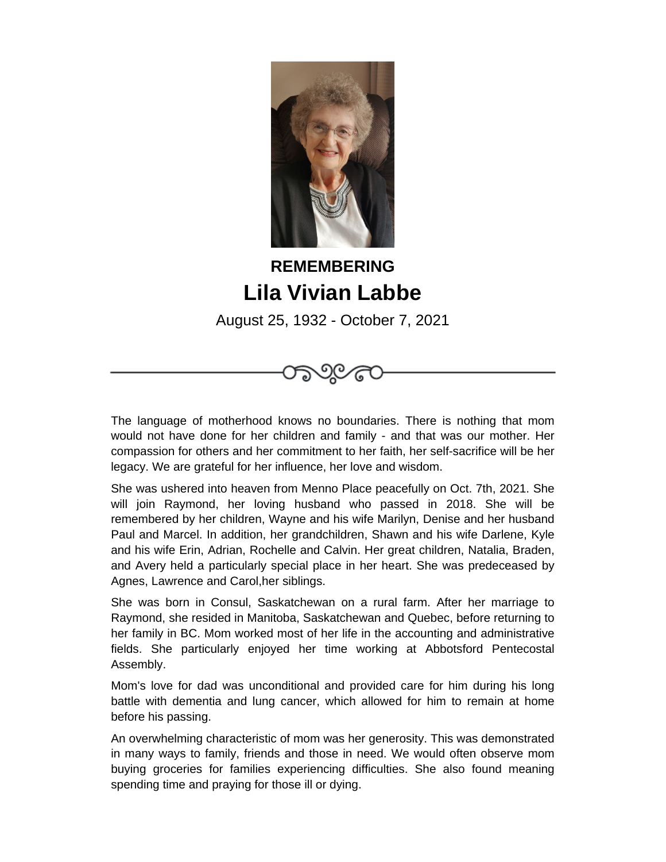

## **REMEMBERING Lila Vivian Labbe**

August 25, 1932 - October 7, 2021



She was ushered into heaven from Menno Place peacefully on Oct. 7th, 2021. She will join Raymond, her loving husband who passed in 2018. She will be remembered by her children, Wayne and his wife Marilyn, Denise and her husband Paul and Marcel. In addition, her grandchildren, Shawn and his wife Darlene, Kyle and his wife Erin, Adrian, Rochelle and Calvin. Her great children, Natalia, Braden, and Avery held a particularly special place in her heart. She was predeceased by Agnes, Lawrence and Carol,her siblings.

She was born in Consul, Saskatchewan on a rural farm. After her marriage to Raymond, she resided in Manitoba, Saskatchewan and Quebec, before returning to her family in BC. Mom worked most of her life in the accounting and administrative fields. She particularly enjoyed her time working at Abbotsford Pentecostal Assembly.

Mom's love for dad was unconditional and provided care for him during his long battle with dementia and lung cancer, which allowed for him to remain at home before his passing.

An overwhelming characteristic of mom was her generosity. This was demonstrated in many ways to family, friends and those in need. We would often observe mom buying groceries for families experiencing difficulties. She also found meaning spending time and praying for those ill or dying.